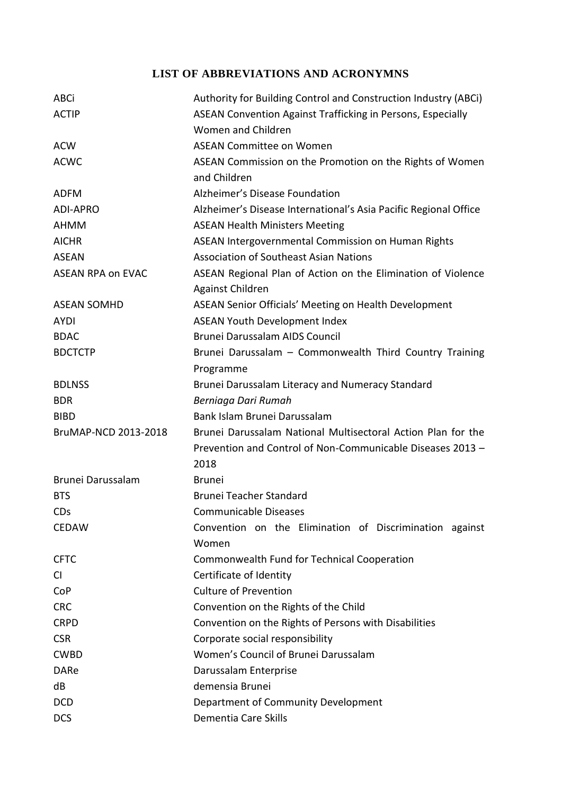## **LIST OF ABBREVIATIONS AND ACRONYMNS**

| <b>ABCi</b>              | Authority for Building Control and Construction Industry (ABCi)          |
|--------------------------|--------------------------------------------------------------------------|
| <b>ACTIP</b>             | ASEAN Convention Against Trafficking in Persons, Especially              |
|                          | Women and Children                                                       |
| <b>ACW</b>               | <b>ASEAN Committee on Women</b>                                          |
| <b>ACWC</b>              | ASEAN Commission on the Promotion on the Rights of Women<br>and Children |
| <b>ADFM</b>              | Alzheimer's Disease Foundation                                           |
| <b>ADI-APRO</b>          | Alzheimer's Disease International's Asia Pacific Regional Office         |
| <b>AHMM</b>              | <b>ASEAN Health Ministers Meeting</b>                                    |
| <b>AICHR</b>             | ASEAN Intergovernmental Commission on Human Rights                       |
| <b>ASEAN</b>             | <b>Association of Southeast Asian Nations</b>                            |
| <b>ASEAN RPA on EVAC</b> | ASEAN Regional Plan of Action on the Elimination of Violence             |
|                          | Against Children                                                         |
| <b>ASEAN SOMHD</b>       | ASEAN Senior Officials' Meeting on Health Development                    |
| <b>AYDI</b>              | <b>ASEAN Youth Development Index</b>                                     |
| <b>BDAC</b>              | Brunei Darussalam AIDS Council                                           |
| <b>BDCTCTP</b>           | Brunei Darussalam - Commonwealth Third Country Training                  |
|                          | Programme                                                                |
| <b>BDLNSS</b>            | Brunei Darussalam Literacy and Numeracy Standard                         |
| <b>BDR</b>               | Berniaga Dari Rumah                                                      |
| <b>BIBD</b>              | Bank Islam Brunei Darussalam                                             |
| BruMAP-NCD 2013-2018     | Brunei Darussalam National Multisectoral Action Plan for the             |
|                          | Prevention and Control of Non-Communicable Diseases 2013 -               |
|                          | 2018                                                                     |
| Brunei Darussalam        | <b>Brunei</b>                                                            |
| <b>BTS</b>               | <b>Brunei Teacher Standard</b>                                           |
| <b>CDs</b>               | Communicable Diseases                                                    |
| <b>CEDAW</b>             | Convention on the Elimination of Discrimination against                  |
|                          | Women                                                                    |
| <b>CFTC</b>              | Commonwealth Fund for Technical Cooperation                              |
| <b>CI</b>                | Certificate of Identity                                                  |
| CoP                      | <b>Culture of Prevention</b>                                             |
| <b>CRC</b>               | Convention on the Rights of the Child                                    |
| <b>CRPD</b>              | Convention on the Rights of Persons with Disabilities                    |
| <b>CSR</b>               | Corporate social responsibility                                          |
| <b>CWBD</b>              | Women's Council of Brunei Darussalam                                     |
| <b>DARe</b>              | Darussalam Enterprise                                                    |
| dB                       | demensia Brunei                                                          |
| <b>DCD</b>               | Department of Community Development                                      |
| <b>DCS</b>               | Dementia Care Skills                                                     |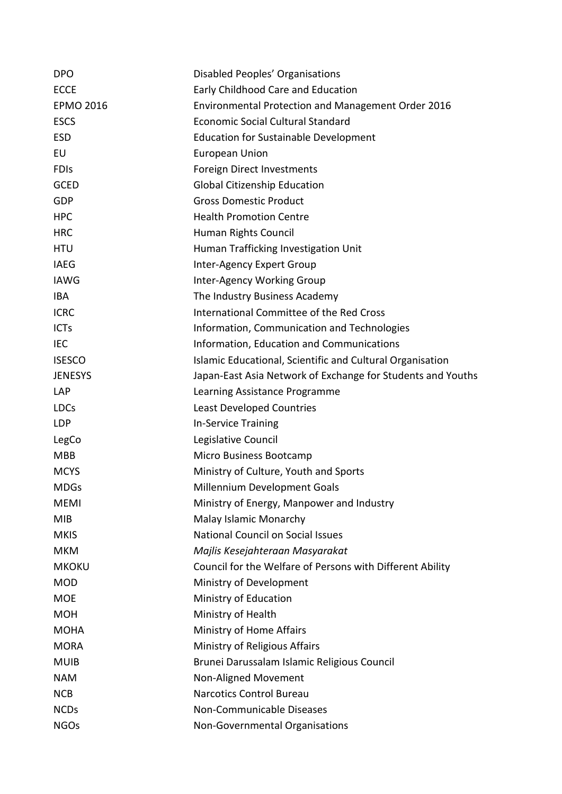| <b>DPO</b>       | Disabled Peoples' Organisations                             |
|------------------|-------------------------------------------------------------|
| <b>ECCE</b>      | Early Childhood Care and Education                          |
| <b>EPMO 2016</b> | <b>Environmental Protection and Management Order 2016</b>   |
| <b>ESCS</b>      | <b>Economic Social Cultural Standard</b>                    |
| <b>ESD</b>       | <b>Education for Sustainable Development</b>                |
| EU               | <b>European Union</b>                                       |
| <b>FDIS</b>      | Foreign Direct Investments                                  |
| <b>GCED</b>      | <b>Global Citizenship Education</b>                         |
| GDP              | <b>Gross Domestic Product</b>                               |
| <b>HPC</b>       | <b>Health Promotion Centre</b>                              |
| <b>HRC</b>       | Human Rights Council                                        |
| <b>HTU</b>       | Human Trafficking Investigation Unit                        |
| <b>IAEG</b>      | Inter-Agency Expert Group                                   |
| <b>IAWG</b>      | Inter-Agency Working Group                                  |
| <b>IBA</b>       | The Industry Business Academy                               |
| <b>ICRC</b>      | International Committee of the Red Cross                    |
| <b>ICTs</b>      | Information, Communication and Technologies                 |
| <b>IEC</b>       | Information, Education and Communications                   |
| <b>ISESCO</b>    | Islamic Educational, Scientific and Cultural Organisation   |
| <b>JENESYS</b>   | Japan-East Asia Network of Exchange for Students and Youths |
| <b>LAP</b>       | Learning Assistance Programme                               |
| <b>LDCs</b>      | <b>Least Developed Countries</b>                            |
| <b>LDP</b>       | In-Service Training                                         |
| LegCo            | Legislative Council                                         |
| <b>MBB</b>       | Micro Business Bootcamp                                     |
| <b>MCYS</b>      | Ministry of Culture, Youth and Sports                       |
| <b>MDGs</b>      | Millennium Development Goals                                |
| <b>MEMI</b>      | Ministry of Energy, Manpower and Industry                   |
| <b>MIB</b>       | Malay Islamic Monarchy                                      |
| <b>MKIS</b>      | <b>National Council on Social Issues</b>                    |
| <b>MKM</b>       | Majlis Kesejahteraan Masyarakat                             |
| <b>MKOKU</b>     | Council for the Welfare of Persons with Different Ability   |
| <b>MOD</b>       | Ministry of Development                                     |
| <b>MOE</b>       | Ministry of Education                                       |
| <b>MOH</b>       | Ministry of Health                                          |
| <b>MOHA</b>      | Ministry of Home Affairs                                    |
| <b>MORA</b>      | Ministry of Religious Affairs                               |
| <b>MUIB</b>      | Brunei Darussalam Islamic Religious Council                 |
| <b>NAM</b>       | Non-Aligned Movement                                        |
| <b>NCB</b>       | <b>Narcotics Control Bureau</b>                             |
| <b>NCDs</b>      | Non-Communicable Diseases                                   |
| <b>NGOs</b>      | Non-Governmental Organisations                              |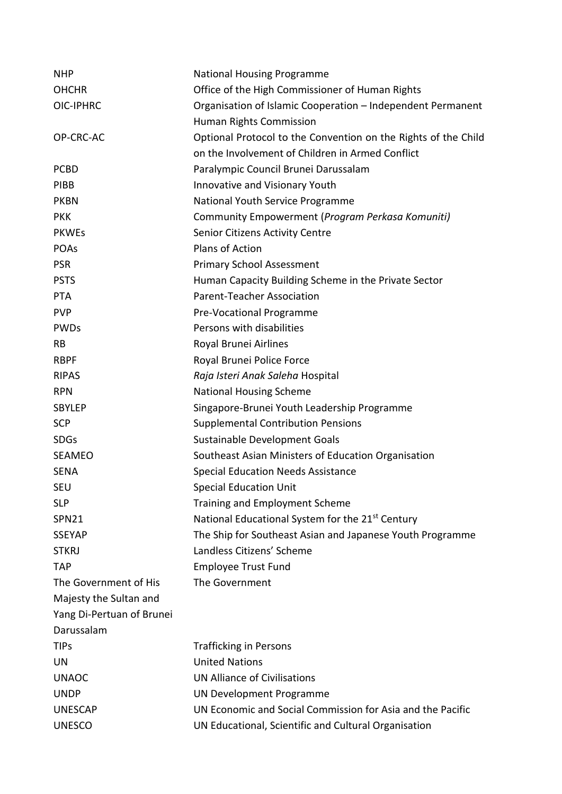| <b>NHP</b>                | <b>National Housing Programme</b>                              |
|---------------------------|----------------------------------------------------------------|
| <b>OHCHR</b>              | Office of the High Commissioner of Human Rights                |
| OIC-IPHRC                 | Organisation of Islamic Cooperation - Independent Permanent    |
|                           | Human Rights Commission                                        |
| OP-CRC-AC                 | Optional Protocol to the Convention on the Rights of the Child |
|                           | on the Involvement of Children in Armed Conflict               |
| <b>PCBD</b>               | Paralympic Council Brunei Darussalam                           |
| <b>PIBB</b>               | Innovative and Visionary Youth                                 |
| <b>PKBN</b>               | National Youth Service Programme                               |
| <b>PKK</b>                | Community Empowerment (Program Perkasa Komuniti)               |
| <b>PKWEs</b>              | Senior Citizens Activity Centre                                |
| <b>POAs</b>               | Plans of Action                                                |
| <b>PSR</b>                | <b>Primary School Assessment</b>                               |
| <b>PSTS</b>               | Human Capacity Building Scheme in the Private Sector           |
| <b>PTA</b>                | <b>Parent-Teacher Association</b>                              |
| <b>PVP</b>                | Pre-Vocational Programme                                       |
| <b>PWDs</b>               | Persons with disabilities                                      |
| <b>RB</b>                 | Royal Brunei Airlines                                          |
| <b>RBPF</b>               | Royal Brunei Police Force                                      |
| <b>RIPAS</b>              | Raja Isteri Anak Saleha Hospital                               |
| <b>RPN</b>                | <b>National Housing Scheme</b>                                 |
| <b>SBYLEP</b>             | Singapore-Brunei Youth Leadership Programme                    |
| <b>SCP</b>                | <b>Supplemental Contribution Pensions</b>                      |
| <b>SDGs</b>               | Sustainable Development Goals                                  |
| <b>SEAMEO</b>             | Southeast Asian Ministers of Education Organisation            |
| <b>SENA</b>               | <b>Special Education Needs Assistance</b>                      |
| <b>SEU</b>                | <b>Special Education Unit</b>                                  |
| <b>SLP</b>                | <b>Training and Employment Scheme</b>                          |
| <b>SPN21</b>              | National Educational System for the 21 <sup>st</sup> Century   |
| <b>SSEYAP</b>             | The Ship for Southeast Asian and Japanese Youth Programme      |
| <b>STKRJ</b>              | Landless Citizens' Scheme                                      |
| <b>TAP</b>                | <b>Employee Trust Fund</b>                                     |
| The Government of His     | The Government                                                 |
| Majesty the Sultan and    |                                                                |
| Yang Di-Pertuan of Brunei |                                                                |
| Darussalam                |                                                                |
| <b>TIPs</b>               | <b>Trafficking in Persons</b>                                  |
| UN                        | <b>United Nations</b>                                          |
| <b>UNAOC</b>              | <b>UN Alliance of Civilisations</b>                            |
| <b>UNDP</b>               | UN Development Programme                                       |
| <b>UNESCAP</b>            | UN Economic and Social Commission for Asia and the Pacific     |
| <b>UNESCO</b>             | UN Educational, Scientific and Cultural Organisation           |